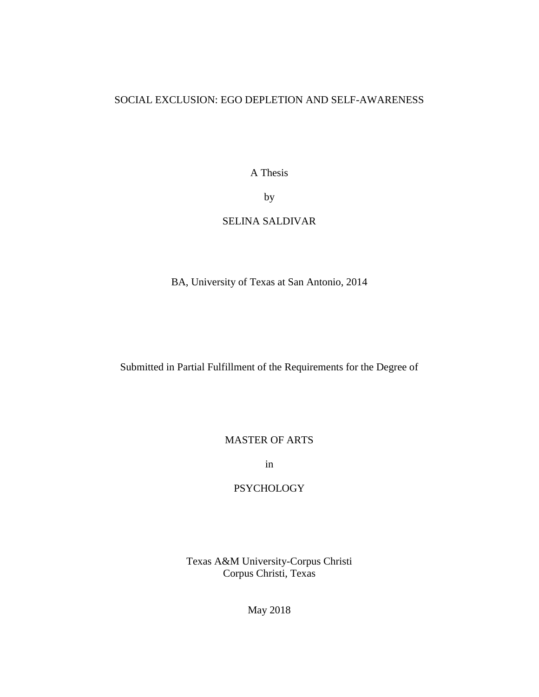# SOCIAL EXCLUSION: EGO DEPLETION AND SELF-AWARENESS

A Thesis

by

# SELINA SALDIVAR

BA, University of Texas at San Antonio, 2014

Submitted in Partial Fulfillment of the Requirements for the Degree of

MASTER OF ARTS

in

# **PSYCHOLOGY**

Texas A&M University-Corpus Christi Corpus Christi, Texas

May 2018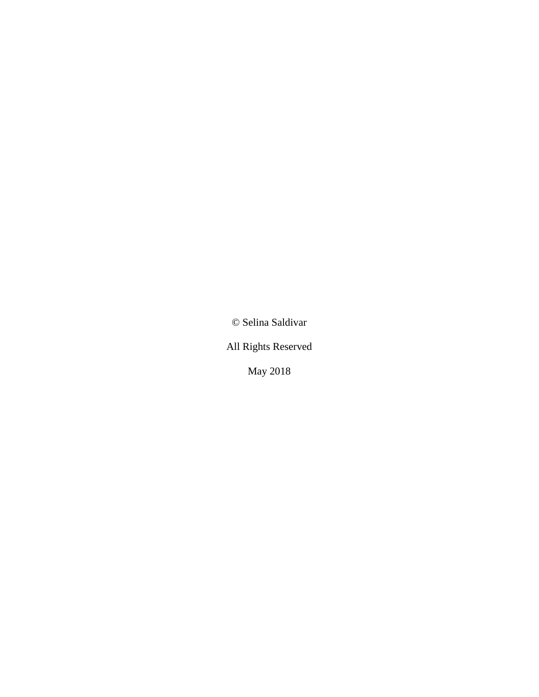© Selina Saldivar

All Rights Reserved

May 2018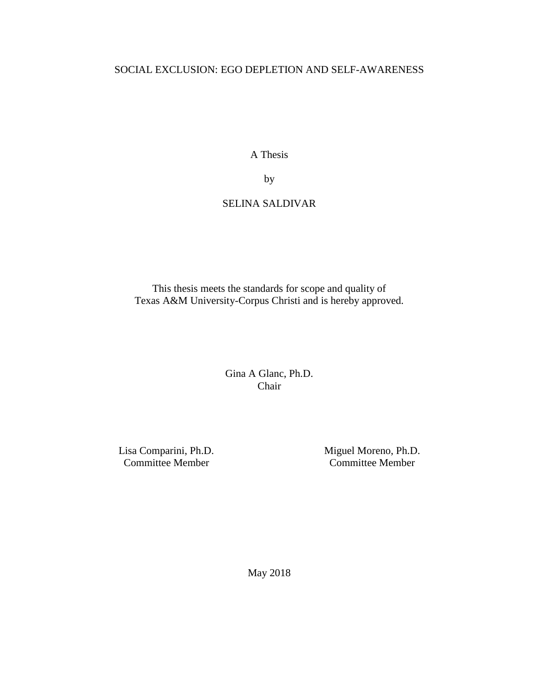# SOCIAL EXCLUSION: EGO DEPLETION AND SELF-AWARENESS

A Thesis

by

# SELINA SALDIVAR

This thesis meets the standards for scope and quality of Texas A&M University-Corpus Christi and is hereby approved.

> Gina A Glanc, Ph.D. Chair

Lisa Comparini, Ph.D. Committee Member

Miguel Moreno, Ph.D. Committee Member

May 2018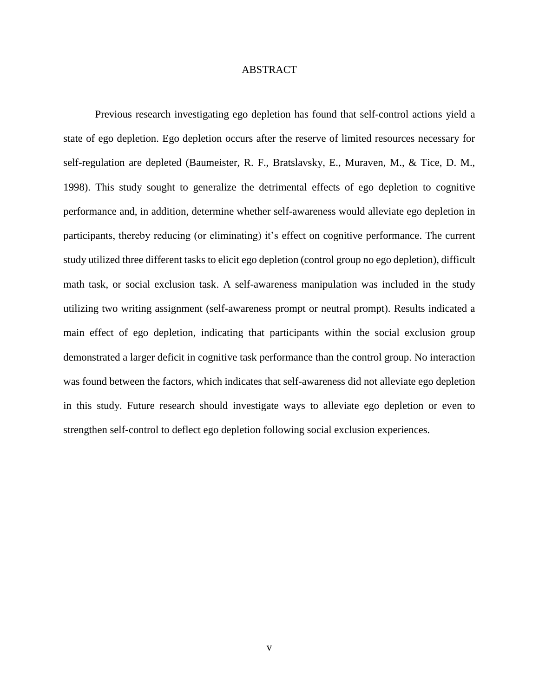### ABSTRACT

Previous research investigating ego depletion has found that self-control actions yield a state of ego depletion. Ego depletion occurs after the reserve of limited resources necessary for self-regulation are depleted (Baumeister, R. F., Bratslavsky, E., Muraven, M., & Tice, D. M., 1998). This study sought to generalize the detrimental effects of ego depletion to cognitive performance and, in addition, determine whether self-awareness would alleviate ego depletion in participants, thereby reducing (or eliminating) it's effect on cognitive performance. The current study utilized three different tasks to elicit ego depletion (control group no ego depletion), difficult math task, or social exclusion task. A self-awareness manipulation was included in the study utilizing two writing assignment (self-awareness prompt or neutral prompt). Results indicated a main effect of ego depletion, indicating that participants within the social exclusion group demonstrated a larger deficit in cognitive task performance than the control group. No interaction was found between the factors, which indicates that self-awareness did not alleviate ego depletion in this study. Future research should investigate ways to alleviate ego depletion or even to strengthen self-control to deflect ego depletion following social exclusion experiences.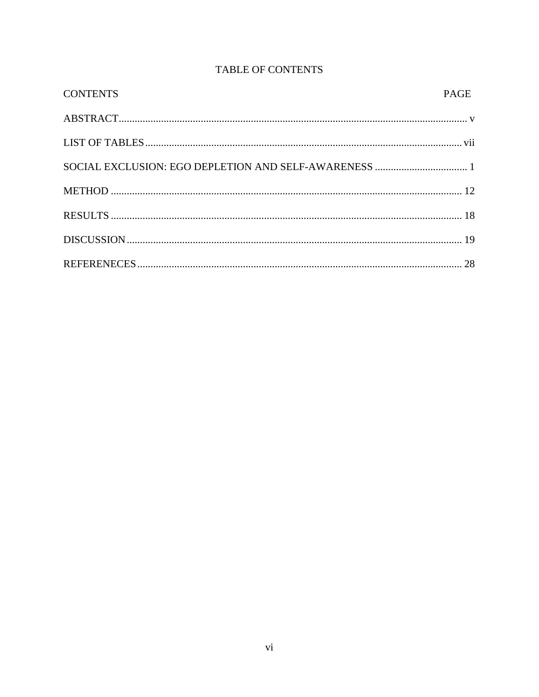| <b>CONTENTS</b> | PAGE |
|-----------------|------|
|                 |      |
|                 |      |
|                 |      |
|                 |      |
|                 |      |
|                 |      |
|                 |      |

# TABLE OF CONTENTS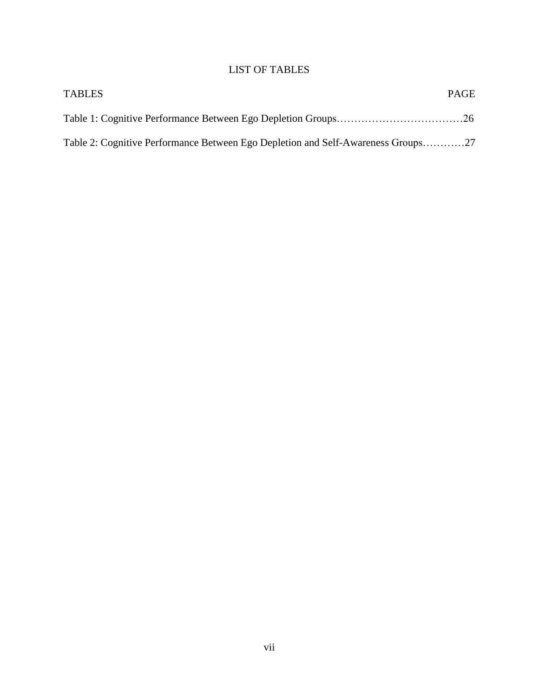# LIST OF TABLES

| <b>TABLES</b>                                                                    | <b>PAGE</b> |
|----------------------------------------------------------------------------------|-------------|
|                                                                                  |             |
| Table 2: Cognitive Performance Between Ego Depletion and Self-Awareness Groups27 |             |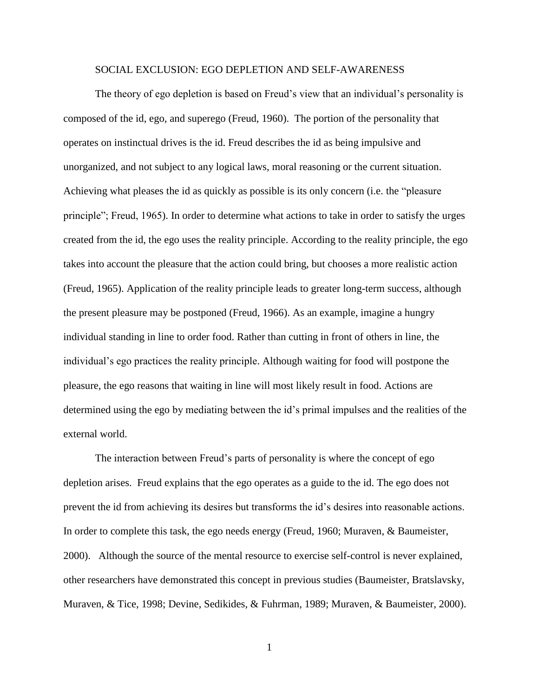### SOCIAL EXCLUSION: EGO DEPLETION AND SELF-AWARENESS

The theory of ego depletion is based on Freud's view that an individual's personality is composed of the id, ego, and superego (Freud, 1960). The portion of the personality that operates on instinctual drives is the id. Freud describes the id as being impulsive and unorganized, and not subject to any logical laws, moral reasoning or the current situation. Achieving what pleases the id as quickly as possible is its only concern (i.e. the "pleasure principle"; Freud, 1965). In order to determine what actions to take in order to satisfy the urges created from the id, the ego uses the reality principle. According to the reality principle, the ego takes into account the pleasure that the action could bring, but chooses a more realistic action (Freud, 1965). Application of the reality principle leads to greater long-term success, although the present pleasure may be postponed (Freud, 1966). As an example, imagine a hungry individual standing in line to order food. Rather than cutting in front of others in line, the individual's ego practices the reality principle. Although waiting for food will postpone the pleasure, the ego reasons that waiting in line will most likely result in food. Actions are determined using the ego by mediating between the id's primal impulses and the realities of the external world.

The interaction between Freud's parts of personality is where the concept of ego depletion arises. Freud explains that the ego operates as a guide to the id. The ego does not prevent the id from achieving its desires but transforms the id's desires into reasonable actions. In order to complete this task, the ego needs energy (Freud, 1960; Muraven, & Baumeister, 2000). Although the source of the mental resource to exercise self-control is never explained, other researchers have demonstrated this concept in previous studies (Baumeister, Bratslavsky, Muraven, & Tice, 1998; Devine, Sedikides, & Fuhrman, 1989; Muraven, & Baumeister, 2000).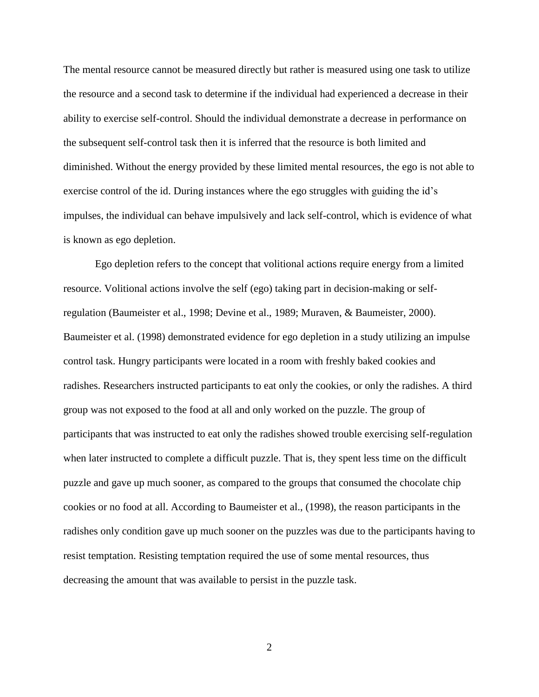The mental resource cannot be measured directly but rather is measured using one task to utilize the resource and a second task to determine if the individual had experienced a decrease in their ability to exercise self-control. Should the individual demonstrate a decrease in performance on the subsequent self-control task then it is inferred that the resource is both limited and diminished. Without the energy provided by these limited mental resources, the ego is not able to exercise control of the id. During instances where the ego struggles with guiding the id's impulses, the individual can behave impulsively and lack self-control, which is evidence of what is known as ego depletion.

Ego depletion refers to the concept that volitional actions require energy from a limited resource. Volitional actions involve the self (ego) taking part in decision-making or selfregulation (Baumeister et al., 1998; Devine et al., 1989; Muraven, & Baumeister, 2000). Baumeister et al. (1998) demonstrated evidence for ego depletion in a study utilizing an impulse control task. Hungry participants were located in a room with freshly baked cookies and radishes. Researchers instructed participants to eat only the cookies, or only the radishes. A third group was not exposed to the food at all and only worked on the puzzle. The group of participants that was instructed to eat only the radishes showed trouble exercising self-regulation when later instructed to complete a difficult puzzle. That is, they spent less time on the difficult puzzle and gave up much sooner, as compared to the groups that consumed the chocolate chip cookies or no food at all. According to Baumeister et al., (1998), the reason participants in the radishes only condition gave up much sooner on the puzzles was due to the participants having to resist temptation. Resisting temptation required the use of some mental resources, thus decreasing the amount that was available to persist in the puzzle task.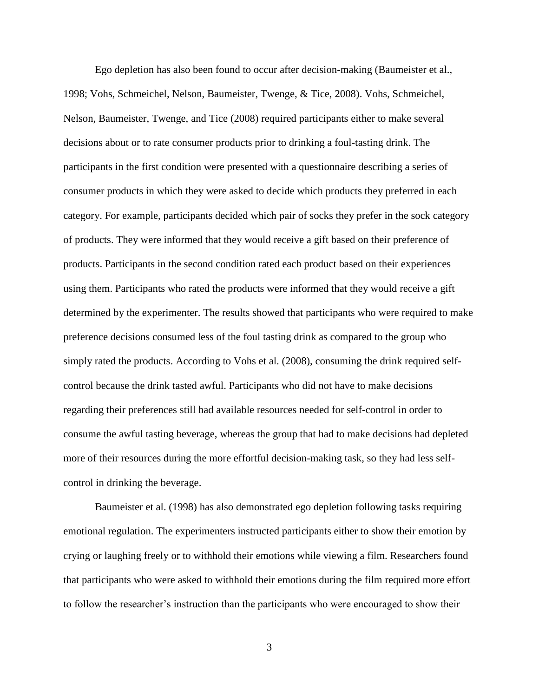Ego depletion has also been found to occur after decision-making (Baumeister et al., 1998; Vohs, Schmeichel, Nelson, Baumeister, Twenge, & Tice, 2008). Vohs, Schmeichel, Nelson, Baumeister, Twenge, and Tice (2008) required participants either to make several decisions about or to rate consumer products prior to drinking a foul-tasting drink. The participants in the first condition were presented with a questionnaire describing a series of consumer products in which they were asked to decide which products they preferred in each category. For example, participants decided which pair of socks they prefer in the sock category of products. They were informed that they would receive a gift based on their preference of products. Participants in the second condition rated each product based on their experiences using them. Participants who rated the products were informed that they would receive a gift determined by the experimenter. The results showed that participants who were required to make preference decisions consumed less of the foul tasting drink as compared to the group who simply rated the products. According to Vohs et al. (2008), consuming the drink required selfcontrol because the drink tasted awful. Participants who did not have to make decisions regarding their preferences still had available resources needed for self-control in order to consume the awful tasting beverage, whereas the group that had to make decisions had depleted more of their resources during the more effortful decision-making task, so they had less selfcontrol in drinking the beverage.

Baumeister et al. (1998) has also demonstrated ego depletion following tasks requiring emotional regulation. The experimenters instructed participants either to show their emotion by crying or laughing freely or to withhold their emotions while viewing a film. Researchers found that participants who were asked to withhold their emotions during the film required more effort to follow the researcher's instruction than the participants who were encouraged to show their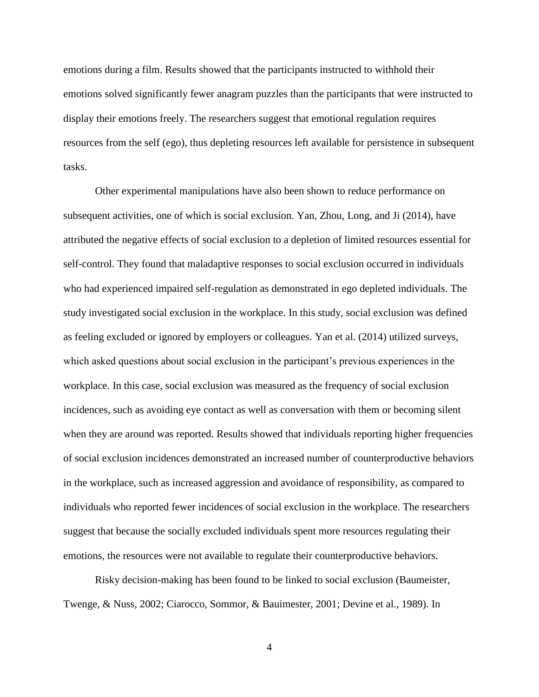emotions during a film. Results showed that the participants instructed to withhold their emotions solved significantly fewer anagram puzzles than the participants that were instructed to display their emotions freely. The researchers suggest that emotional regulation requires resources from the self (ego), thus depleting resources left available for persistence in subsequent tasks.

Other experimental manipulations have also been shown to reduce performance on subsequent activities, one of which is social exclusion. Yan, Zhou, Long, and Ji (2014), have attributed the negative effects of social exclusion to a depletion of limited resources essential for self-control. They found that maladaptive responses to social exclusion occurred in individuals who had experienced impaired self-regulation as demonstrated in ego depleted individuals. The study investigated social exclusion in the workplace. In this study, social exclusion was defined as feeling excluded or ignored by employers or colleagues. Yan et al. (2014) utilized surveys, which asked questions about social exclusion in the participant's previous experiences in the workplace. In this case, social exclusion was measured as the frequency of social exclusion incidences, such as avoiding eye contact as well as conversation with them or becoming silent when they are around was reported. Results showed that individuals reporting higher frequencies of social exclusion incidences demonstrated an increased number of counterproductive behaviors in the workplace, such as increased aggression and avoidance of responsibility, as compared to individuals who reported fewer incidences of social exclusion in the workplace. The researchers suggest that because the socially excluded individuals spent more resources regulating their emotions, the resources were not available to regulate their counterproductive behaviors.

Risky decision-making has been found to be linked to social exclusion (Baumeister, Twenge, & Nuss, 2002; Ciarocco, Sommor, & Bauimester, 2001; Devine et al., 1989). In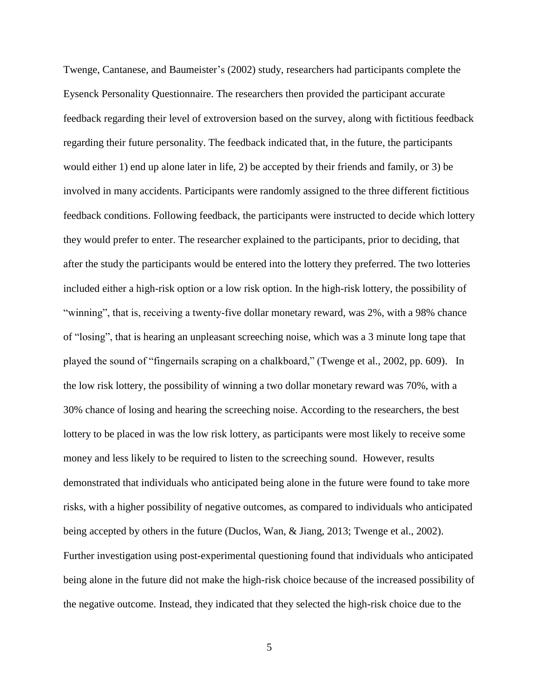Twenge, Cantanese, and Baumeister's (2002) study, researchers had participants complete the Eysenck Personality Questionnaire. The researchers then provided the participant accurate feedback regarding their level of extroversion based on the survey, along with fictitious feedback regarding their future personality. The feedback indicated that, in the future, the participants would either 1) end up alone later in life, 2) be accepted by their friends and family, or 3) be involved in many accidents. Participants were randomly assigned to the three different fictitious feedback conditions. Following feedback, the participants were instructed to decide which lottery they would prefer to enter. The researcher explained to the participants, prior to deciding, that after the study the participants would be entered into the lottery they preferred. The two lotteries included either a high-risk option or a low risk option. In the high-risk lottery, the possibility of "winning", that is, receiving a twenty-five dollar monetary reward, was 2%, with a 98% chance of "losing", that is hearing an unpleasant screeching noise, which was a 3 minute long tape that played the sound of "fingernails scraping on a chalkboard," (Twenge et al., 2002, pp. 609). In the low risk lottery, the possibility of winning a two dollar monetary reward was 70%, with a 30% chance of losing and hearing the screeching noise. According to the researchers, the best lottery to be placed in was the low risk lottery, as participants were most likely to receive some money and less likely to be required to listen to the screeching sound. However, results demonstrated that individuals who anticipated being alone in the future were found to take more risks, with a higher possibility of negative outcomes, as compared to individuals who anticipated being accepted by others in the future (Duclos, Wan, & Jiang, 2013; Twenge et al., 2002). Further investigation using post-experimental questioning found that individuals who anticipated being alone in the future did not make the high-risk choice because of the increased possibility of the negative outcome. Instead, they indicated that they selected the high-risk choice due to the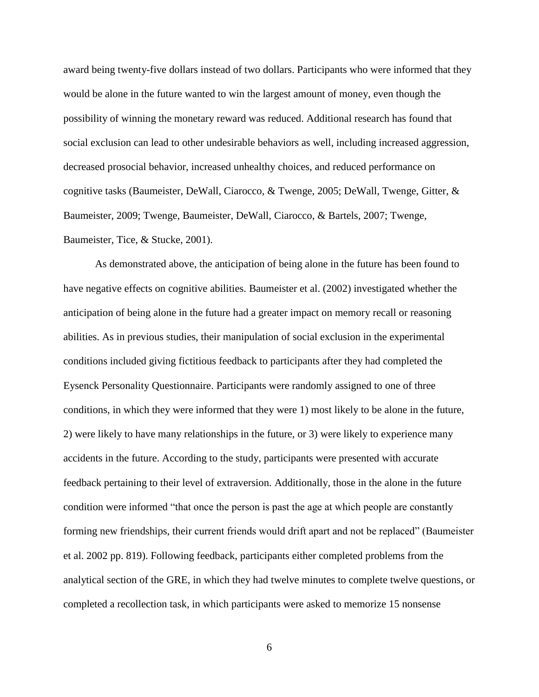award being twenty-five dollars instead of two dollars. Participants who were informed that they would be alone in the future wanted to win the largest amount of money, even though the possibility of winning the monetary reward was reduced. Additional research has found that social exclusion can lead to other undesirable behaviors as well, including increased aggression, decreased prosocial behavior, increased unhealthy choices, and reduced performance on cognitive tasks (Baumeister, DeWall, Ciarocco, & Twenge, 2005; DeWall, Twenge, Gitter, & Baumeister, 2009; Twenge, Baumeister, DeWall, Ciarocco, & Bartels, 2007; Twenge, Baumeister, Tice, & Stucke, 2001).

As demonstrated above, the anticipation of being alone in the future has been found to have negative effects on cognitive abilities. Baumeister et al. (2002) investigated whether the anticipation of being alone in the future had a greater impact on memory recall or reasoning abilities. As in previous studies, their manipulation of social exclusion in the experimental conditions included giving fictitious feedback to participants after they had completed the Eysenck Personality Questionnaire. Participants were randomly assigned to one of three conditions, in which they were informed that they were 1) most likely to be alone in the future, 2) were likely to have many relationships in the future, or 3) were likely to experience many accidents in the future. According to the study, participants were presented with accurate feedback pertaining to their level of extraversion. Additionally, those in the alone in the future condition were informed "that once the person is past the age at which people are constantly forming new friendships, their current friends would drift apart and not be replaced" (Baumeister et al. 2002 pp. 819). Following feedback, participants either completed problems from the analytical section of the GRE, in which they had twelve minutes to complete twelve questions, or completed a recollection task, in which participants were asked to memorize 15 nonsense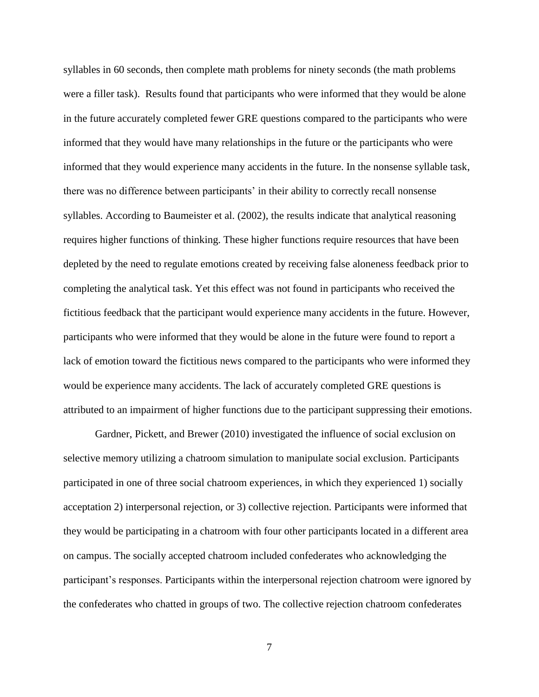syllables in 60 seconds, then complete math problems for ninety seconds (the math problems were a filler task). Results found that participants who were informed that they would be alone in the future accurately completed fewer GRE questions compared to the participants who were informed that they would have many relationships in the future or the participants who were informed that they would experience many accidents in the future. In the nonsense syllable task, there was no difference between participants' in their ability to correctly recall nonsense syllables. According to Baumeister et al. (2002), the results indicate that analytical reasoning requires higher functions of thinking. These higher functions require resources that have been depleted by the need to regulate emotions created by receiving false aloneness feedback prior to completing the analytical task. Yet this effect was not found in participants who received the fictitious feedback that the participant would experience many accidents in the future. However, participants who were informed that they would be alone in the future were found to report a lack of emotion toward the fictitious news compared to the participants who were informed they would be experience many accidents. The lack of accurately completed GRE questions is attributed to an impairment of higher functions due to the participant suppressing their emotions.

Gardner, Pickett, and Brewer (2010) investigated the influence of social exclusion on selective memory utilizing a chatroom simulation to manipulate social exclusion. Participants participated in one of three social chatroom experiences, in which they experienced 1) socially acceptation 2) interpersonal rejection, or 3) collective rejection. Participants were informed that they would be participating in a chatroom with four other participants located in a different area on campus. The socially accepted chatroom included confederates who acknowledging the participant's responses. Participants within the interpersonal rejection chatroom were ignored by the confederates who chatted in groups of two. The collective rejection chatroom confederates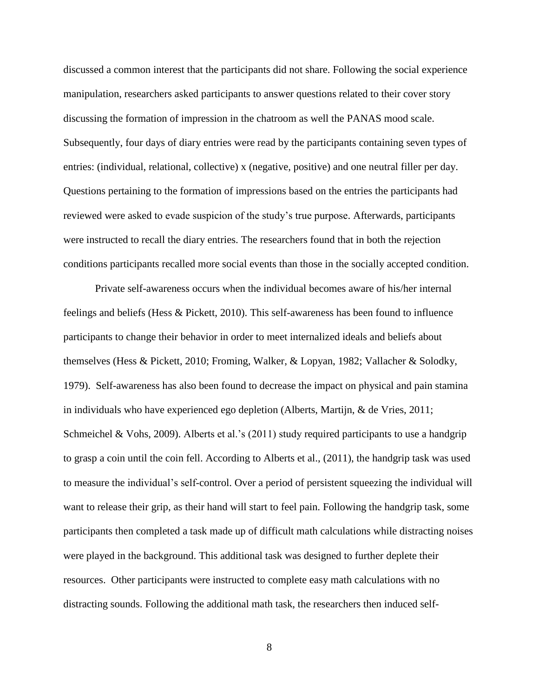discussed a common interest that the participants did not share. Following the social experience manipulation, researchers asked participants to answer questions related to their cover story discussing the formation of impression in the chatroom as well the PANAS mood scale. Subsequently, four days of diary entries were read by the participants containing seven types of entries: (individual, relational, collective) x (negative, positive) and one neutral filler per day. Questions pertaining to the formation of impressions based on the entries the participants had reviewed were asked to evade suspicion of the study's true purpose. Afterwards, participants were instructed to recall the diary entries. The researchers found that in both the rejection conditions participants recalled more social events than those in the socially accepted condition.

Private self-awareness occurs when the individual becomes aware of his/her internal feelings and beliefs (Hess & Pickett, 2010). This self-awareness has been found to influence participants to change their behavior in order to meet internalized ideals and beliefs about themselves (Hess & Pickett, 2010; Froming, Walker, & Lopyan, 1982; Vallacher & Solodky, 1979). Self-awareness has also been found to decrease the impact on physical and pain stamina in individuals who have experienced ego depletion (Alberts, Martijn, & de Vries, 2011; Schmeichel & Vohs, 2009). Alberts et al.'s (2011) study required participants to use a handgrip to grasp a coin until the coin fell. According to Alberts et al., (2011), the handgrip task was used to measure the individual's self-control. Over a period of persistent squeezing the individual will want to release their grip, as their hand will start to feel pain. Following the handgrip task, some participants then completed a task made up of difficult math calculations while distracting noises were played in the background. This additional task was designed to further deplete their resources. Other participants were instructed to complete easy math calculations with no distracting sounds. Following the additional math task, the researchers then induced self-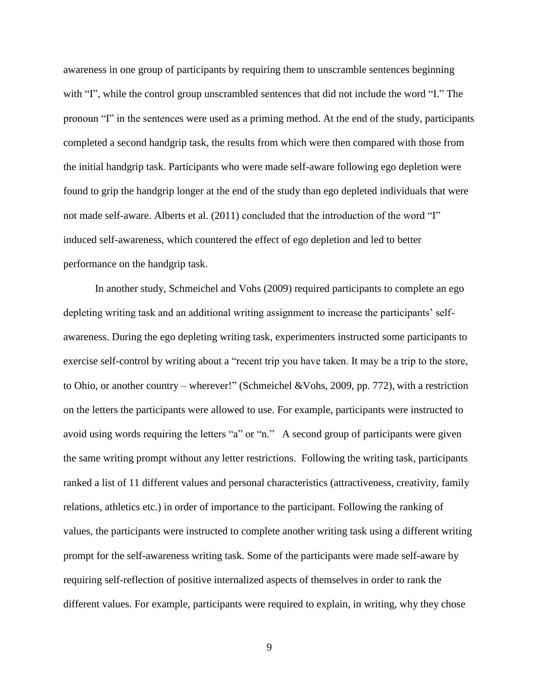awareness in one group of participants by requiring them to unscramble sentences beginning with "I", while the control group unscrambled sentences that did not include the word "I." The pronoun "I" in the sentences were used as a priming method. At the end of the study, participants completed a second handgrip task, the results from which were then compared with those from the initial handgrip task. Participants who were made self-aware following ego depletion were found to grip the handgrip longer at the end of the study than ego depleted individuals that were not made self-aware. Alberts et al. (2011) concluded that the introduction of the word "I" induced self-awareness, which countered the effect of ego depletion and led to better performance on the handgrip task.

In another study, Schmeichel and Vohs (2009) required participants to complete an ego depleting writing task and an additional writing assignment to increase the participants' selfawareness. During the ego depleting writing task, experimenters instructed some participants to exercise self-control by writing about a "recent trip you have taken. It may be a trip to the store, to Ohio, or another country – wherever!" (Schmeichel &Vohs, 2009, pp. 772), with a restriction on the letters the participants were allowed to use. For example, participants were instructed to avoid using words requiring the letters "a" or "n." A second group of participants were given the same writing prompt without any letter restrictions. Following the writing task, participants ranked a list of 11 different values and personal characteristics (attractiveness, creativity, family relations, athletics etc.) in order of importance to the participant. Following the ranking of values, the participants were instructed to complete another writing task using a different writing prompt for the self-awareness writing task. Some of the participants were made self-aware by requiring self-reflection of positive internalized aspects of themselves in order to rank the different values. For example, participants were required to explain, in writing, why they chose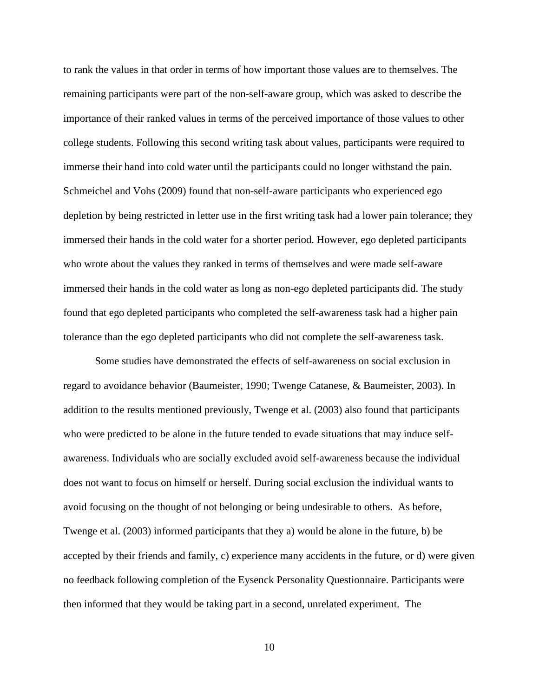to rank the values in that order in terms of how important those values are to themselves. The remaining participants were part of the non-self-aware group, which was asked to describe the importance of their ranked values in terms of the perceived importance of those values to other college students. Following this second writing task about values, participants were required to immerse their hand into cold water until the participants could no longer withstand the pain. Schmeichel and Vohs (2009) found that non-self-aware participants who experienced ego depletion by being restricted in letter use in the first writing task had a lower pain tolerance; they immersed their hands in the cold water for a shorter period. However, ego depleted participants who wrote about the values they ranked in terms of themselves and were made self-aware immersed their hands in the cold water as long as non-ego depleted participants did. The study found that ego depleted participants who completed the self-awareness task had a higher pain tolerance than the ego depleted participants who did not complete the self-awareness task.

Some studies have demonstrated the effects of self-awareness on social exclusion in regard to avoidance behavior (Baumeister, 1990; Twenge Catanese, & Baumeister, 2003). In addition to the results mentioned previously, Twenge et al. (2003) also found that participants who were predicted to be alone in the future tended to evade situations that may induce selfawareness. Individuals who are socially excluded avoid self-awareness because the individual does not want to focus on himself or herself. During social exclusion the individual wants to avoid focusing on the thought of not belonging or being undesirable to others. As before, Twenge et al. (2003) informed participants that they a) would be alone in the future, b) be accepted by their friends and family, c) experience many accidents in the future, or d) were given no feedback following completion of the Eysenck Personality Questionnaire. Participants were then informed that they would be taking part in a second, unrelated experiment. The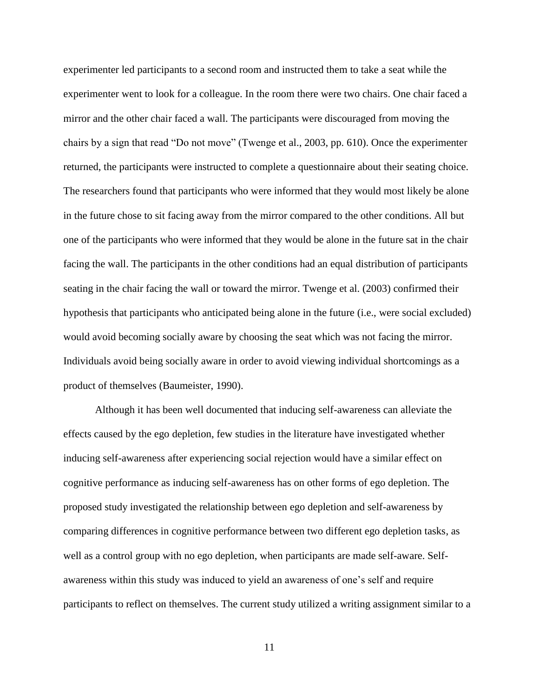experimenter led participants to a second room and instructed them to take a seat while the experimenter went to look for a colleague. In the room there were two chairs. One chair faced a mirror and the other chair faced a wall. The participants were discouraged from moving the chairs by a sign that read "Do not move" (Twenge et al., 2003, pp. 610). Once the experimenter returned, the participants were instructed to complete a questionnaire about their seating choice. The researchers found that participants who were informed that they would most likely be alone in the future chose to sit facing away from the mirror compared to the other conditions. All but one of the participants who were informed that they would be alone in the future sat in the chair facing the wall. The participants in the other conditions had an equal distribution of participants seating in the chair facing the wall or toward the mirror. Twenge et al. (2003) confirmed their hypothesis that participants who anticipated being alone in the future (i.e., were social excluded) would avoid becoming socially aware by choosing the seat which was not facing the mirror. Individuals avoid being socially aware in order to avoid viewing individual shortcomings as a product of themselves (Baumeister, 1990).

Although it has been well documented that inducing self-awareness can alleviate the effects caused by the ego depletion, few studies in the literature have investigated whether inducing self-awareness after experiencing social rejection would have a similar effect on cognitive performance as inducing self-awareness has on other forms of ego depletion. The proposed study investigated the relationship between ego depletion and self-awareness by comparing differences in cognitive performance between two different ego depletion tasks, as well as a control group with no ego depletion, when participants are made self-aware. Selfawareness within this study was induced to yield an awareness of one's self and require participants to reflect on themselves. The current study utilized a writing assignment similar to a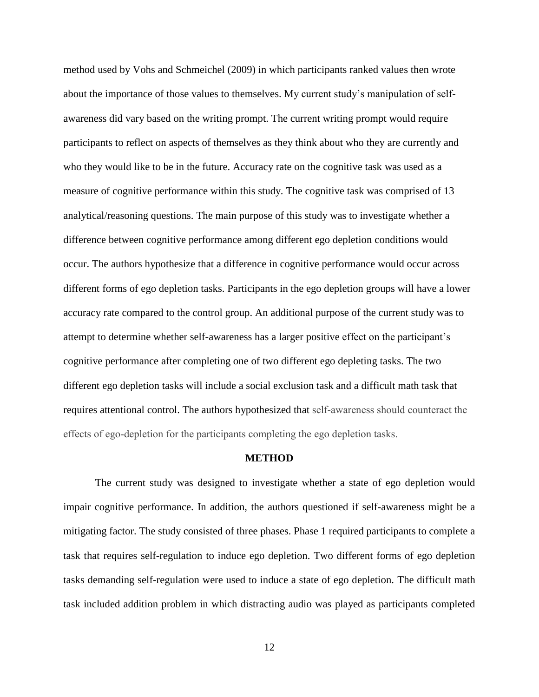method used by Vohs and Schmeichel (2009) in which participants ranked values then wrote about the importance of those values to themselves. My current study's manipulation of selfawareness did vary based on the writing prompt. The current writing prompt would require participants to reflect on aspects of themselves as they think about who they are currently and who they would like to be in the future. Accuracy rate on the cognitive task was used as a measure of cognitive performance within this study. The cognitive task was comprised of 13 analytical/reasoning questions. The main purpose of this study was to investigate whether a difference between cognitive performance among different ego depletion conditions would occur. The authors hypothesize that a difference in cognitive performance would occur across different forms of ego depletion tasks. Participants in the ego depletion groups will have a lower accuracy rate compared to the control group. An additional purpose of the current study was to attempt to determine whether self-awareness has a larger positive effect on the participant's cognitive performance after completing one of two different ego depleting tasks. The two different ego depletion tasks will include a social exclusion task and a difficult math task that requires attentional control. The authors hypothesized that self-awareness should counteract the effects of ego-depletion for the participants completing the ego depletion tasks.

#### **METHOD**

The current study was designed to investigate whether a state of ego depletion would impair cognitive performance. In addition, the authors questioned if self-awareness might be a mitigating factor. The study consisted of three phases. Phase 1 required participants to complete a task that requires self-regulation to induce ego depletion. Two different forms of ego depletion tasks demanding self-regulation were used to induce a state of ego depletion. The difficult math task included addition problem in which distracting audio was played as participants completed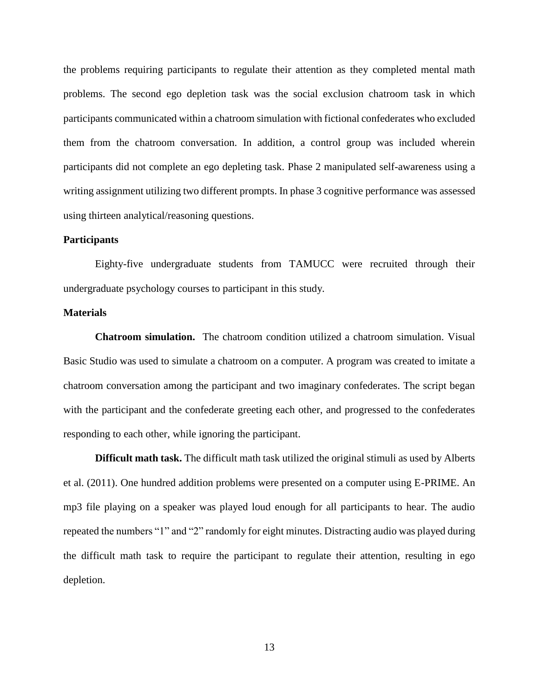the problems requiring participants to regulate their attention as they completed mental math problems. The second ego depletion task was the social exclusion chatroom task in which participants communicated within a chatroom simulation with fictional confederates who excluded them from the chatroom conversation. In addition, a control group was included wherein participants did not complete an ego depleting task. Phase 2 manipulated self-awareness using a writing assignment utilizing two different prompts. In phase 3 cognitive performance was assessed using thirteen analytical/reasoning questions.

## **Participants**

Eighty-five undergraduate students from TAMUCC were recruited through their undergraduate psychology courses to participant in this study.

### **Materials**

**Chatroom simulation.** The chatroom condition utilized a chatroom simulation. Visual Basic Studio was used to simulate a chatroom on a computer. A program was created to imitate a chatroom conversation among the participant and two imaginary confederates. The script began with the participant and the confederate greeting each other, and progressed to the confederates responding to each other, while ignoring the participant.

**Difficult math task.** The difficult math task utilized the original stimuli as used by Alberts et al. (2011). One hundred addition problems were presented on a computer using E-PRIME. An mp3 file playing on a speaker was played loud enough for all participants to hear. The audio repeated the numbers "1" and "2" randomly for eight minutes. Distracting audio was played during the difficult math task to require the participant to regulate their attention, resulting in ego depletion.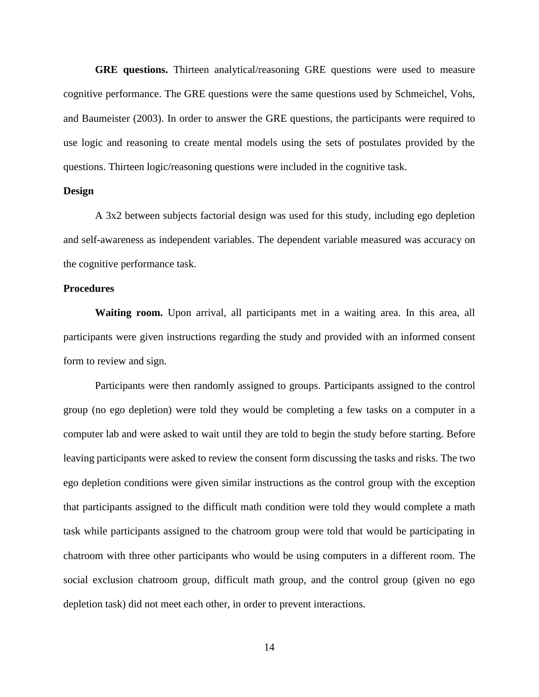**GRE questions.** Thirteen analytical/reasoning GRE questions were used to measure cognitive performance. The GRE questions were the same questions used by Schmeichel, Vohs, and Baumeister (2003). In order to answer the GRE questions, the participants were required to use logic and reasoning to create mental models using the sets of postulates provided by the questions. Thirteen logic/reasoning questions were included in the cognitive task.

# **Design**

A 3x2 between subjects factorial design was used for this study, including ego depletion and self-awareness as independent variables. The dependent variable measured was accuracy on the cognitive performance task.

### **Procedures**

**Waiting room.** Upon arrival, all participants met in a waiting area. In this area, all participants were given instructions regarding the study and provided with an informed consent form to review and sign.

Participants were then randomly assigned to groups. Participants assigned to the control group (no ego depletion) were told they would be completing a few tasks on a computer in a computer lab and were asked to wait until they are told to begin the study before starting. Before leaving participants were asked to review the consent form discussing the tasks and risks. The two ego depletion conditions were given similar instructions as the control group with the exception that participants assigned to the difficult math condition were told they would complete a math task while participants assigned to the chatroom group were told that would be participating in chatroom with three other participants who would be using computers in a different room. The social exclusion chatroom group, difficult math group, and the control group (given no ego depletion task) did not meet each other, in order to prevent interactions.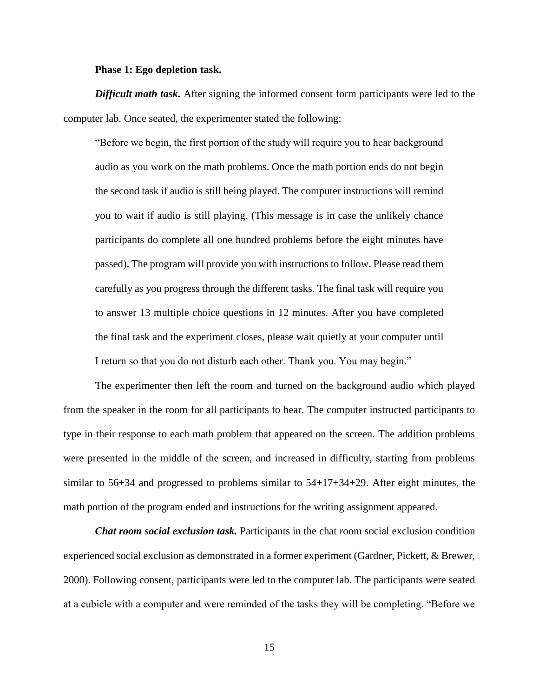#### **Phase 1: Ego depletion task.**

*Difficult math task.* After signing the informed consent form participants were led to the computer lab. Once seated, the experimenter stated the following:

"Before we begin, the first portion of the study will require you to hear background audio as you work on the math problems. Once the math portion ends do not begin the second task if audio is still being played. The computer instructions will remind you to wait if audio is still playing. (This message is in case the unlikely chance participants do complete all one hundred problems before the eight minutes have passed). The program will provide you with instructions to follow. Please read them carefully as you progress through the different tasks. The final task will require you to answer 13 multiple choice questions in 12 minutes. After you have completed the final task and the experiment closes, please wait quietly at your computer until I return so that you do not disturb each other. Thank you. You may begin."

The experimenter then left the room and turned on the background audio which played from the speaker in the room for all participants to hear. The computer instructed participants to type in their response to each math problem that appeared on the screen. The addition problems were presented in the middle of the screen, and increased in difficulty, starting from problems similar to 56+34 and progressed to problems similar to 54+17+34+29. After eight minutes, the math portion of the program ended and instructions for the writing assignment appeared.

*Chat room social exclusion task.* Participants in the chat room social exclusion condition experienced social exclusion as demonstrated in a former experiment (Gardner, Pickett, & Brewer, 2000). Following consent, participants were led to the computer lab. The participants were seated at a cubicle with a computer and were reminded of the tasks they will be completing. "Before we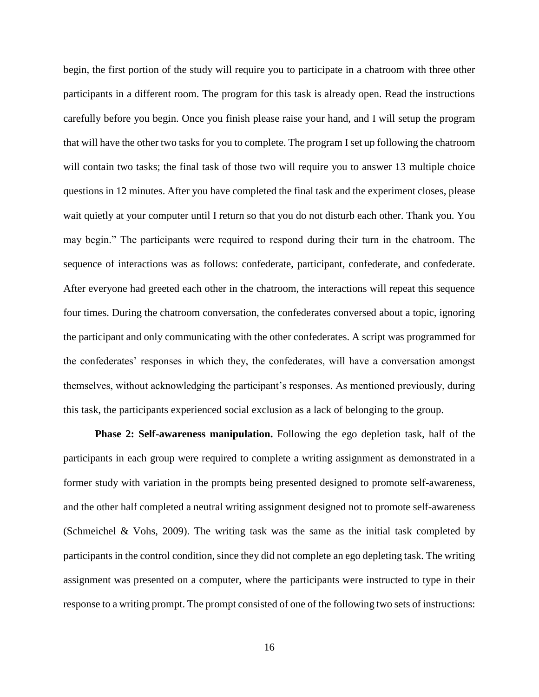begin, the first portion of the study will require you to participate in a chatroom with three other participants in a different room. The program for this task is already open. Read the instructions carefully before you begin. Once you finish please raise your hand, and I will setup the program that will have the other two tasks for you to complete. The program I set up following the chatroom will contain two tasks; the final task of those two will require you to answer 13 multiple choice questions in 12 minutes. After you have completed the final task and the experiment closes, please wait quietly at your computer until I return so that you do not disturb each other. Thank you. You may begin." The participants were required to respond during their turn in the chatroom. The sequence of interactions was as follows: confederate, participant, confederate, and confederate. After everyone had greeted each other in the chatroom, the interactions will repeat this sequence four times. During the chatroom conversation, the confederates conversed about a topic, ignoring the participant and only communicating with the other confederates. A script was programmed for the confederates' responses in which they, the confederates, will have a conversation amongst themselves, without acknowledging the participant's responses. As mentioned previously, during this task, the participants experienced social exclusion as a lack of belonging to the group.

**Phase 2: Self-awareness manipulation.** Following the ego depletion task, half of the participants in each group were required to complete a writing assignment as demonstrated in a former study with variation in the prompts being presented designed to promote self-awareness, and the other half completed a neutral writing assignment designed not to promote self-awareness (Schmeichel & Vohs, 2009). The writing task was the same as the initial task completed by participants in the control condition, since they did not complete an ego depleting task. The writing assignment was presented on a computer, where the participants were instructed to type in their response to a writing prompt. The prompt consisted of one of the following two sets of instructions: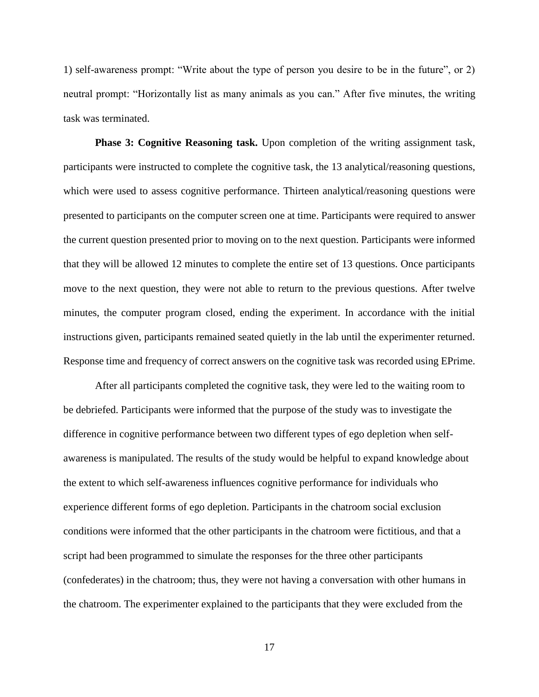1) self-awareness prompt: "Write about the type of person you desire to be in the future", or 2) neutral prompt: "Horizontally list as many animals as you can." After five minutes, the writing task was terminated.

**Phase 3: Cognitive Reasoning task.** Upon completion of the writing assignment task, participants were instructed to complete the cognitive task, the 13 analytical/reasoning questions, which were used to assess cognitive performance. Thirteen analytical/reasoning questions were presented to participants on the computer screen one at time. Participants were required to answer the current question presented prior to moving on to the next question. Participants were informed that they will be allowed 12 minutes to complete the entire set of 13 questions. Once participants move to the next question, they were not able to return to the previous questions. After twelve minutes, the computer program closed, ending the experiment. In accordance with the initial instructions given, participants remained seated quietly in the lab until the experimenter returned. Response time and frequency of correct answers on the cognitive task was recorded using EPrime.

After all participants completed the cognitive task, they were led to the waiting room to be debriefed. Participants were informed that the purpose of the study was to investigate the difference in cognitive performance between two different types of ego depletion when selfawareness is manipulated. The results of the study would be helpful to expand knowledge about the extent to which self-awareness influences cognitive performance for individuals who experience different forms of ego depletion. Participants in the chatroom social exclusion conditions were informed that the other participants in the chatroom were fictitious, and that a script had been programmed to simulate the responses for the three other participants (confederates) in the chatroom; thus, they were not having a conversation with other humans in the chatroom. The experimenter explained to the participants that they were excluded from the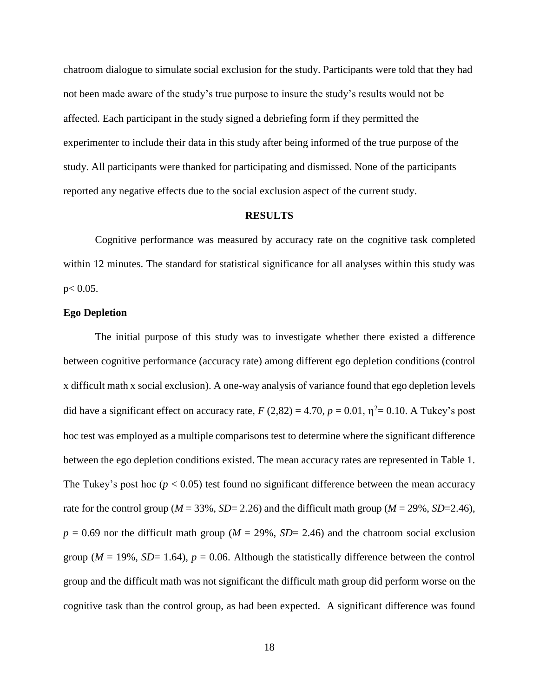chatroom dialogue to simulate social exclusion for the study. Participants were told that they had not been made aware of the study's true purpose to insure the study's results would not be affected. Each participant in the study signed a debriefing form if they permitted the experimenter to include their data in this study after being informed of the true purpose of the study. All participants were thanked for participating and dismissed. None of the participants reported any negative effects due to the social exclusion aspect of the current study.

### **RESULTS**

Cognitive performance was measured by accuracy rate on the cognitive task completed within 12 minutes. The standard for statistical significance for all analyses within this study was  $p< 0.05$ .

## **Ego Depletion**

The initial purpose of this study was to investigate whether there existed a difference between cognitive performance (accuracy rate) among different ego depletion conditions (control x difficult math x social exclusion). A one-way analysis of variance found that ego depletion levels did have a significant effect on accuracy rate,  $F(2,82) = 4.70$ ,  $p = 0.01$ ,  $\eta^2 = 0.10$ . A Tukey's post hoc test was employed as a multiple comparisons test to determine where the significant difference between the ego depletion conditions existed. The mean accuracy rates are represented in Table 1. The Tukey's post hoc ( $p < 0.05$ ) test found no significant difference between the mean accuracy rate for the control group ( $M = 33\%$ ,  $SD = 2.26$ ) and the difficult math group ( $M = 29\%$ ,  $SD = 2.46$ ),  $p = 0.69$  nor the difficult math group ( $M = 29\%$ ,  $SD = 2.46$ ) and the chatroom social exclusion group ( $M = 19\%$ ,  $SD = 1.64$ ),  $p = 0.06$ . Although the statistically difference between the control group and the difficult math was not significant the difficult math group did perform worse on the cognitive task than the control group, as had been expected. A significant difference was found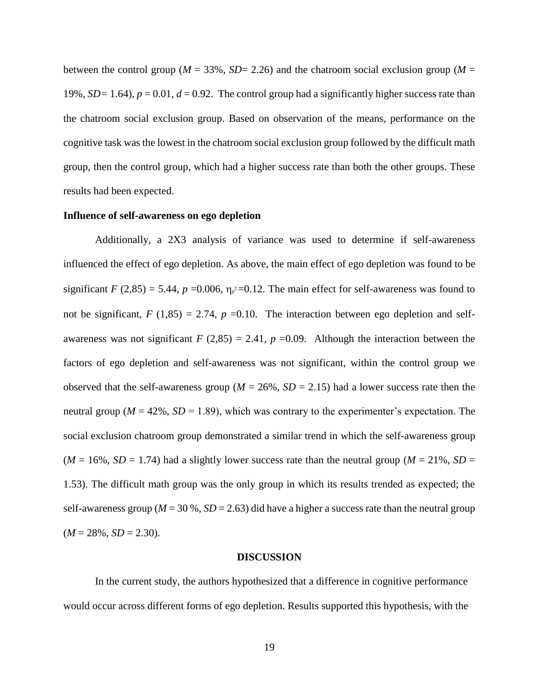between the control group ( $M = 33\%$ ,  $SD = 2.26$ ) and the chatroom social exclusion group ( $M =$ 19%,  $SD=1.64$ ),  $p=0.01$ ,  $d=0.92$ . The control group had a significantly higher success rate than the chatroom social exclusion group. Based on observation of the means, performance on the cognitive task was the lowest in the chatroom social exclusion group followed by the difficult math group, then the control group, which had a higher success rate than both the other groups. These results had been expected.

### **Influence of self-awareness on ego depletion**

Additionally, a 2X3 analysis of variance was used to determine if self-awareness influenced the effect of ego depletion. As above, the main effect of ego depletion was found to be significant *F* (2,85) = 5.44, *p* = 0.006,  $\eta_{p}$ <sup>2</sup> = 0.12. The main effect for self-awareness was found to not be significant,  $F(1,85) = 2.74$ ,  $p = 0.10$ . The interaction between ego depletion and selfawareness was not significant  $F(2,85) = 2.41$ ,  $p = 0.09$ . Although the interaction between the factors of ego depletion and self-awareness was not significant, within the control group we observed that the self-awareness group ( $M = 26\%$ ,  $SD = 2.15$ ) had a lower success rate then the neutral group ( $M = 42\%$ ,  $SD = 1.89$ ), which was contrary to the experimenter's expectation. The social exclusion chatroom group demonstrated a similar trend in which the self-awareness group  $(M = 16\%, SD = 1.74)$  had a slightly lower success rate than the neutral group  $(M = 21\%, SD = 1.74)$ 1.53). The difficult math group was the only group in which its results trended as expected; the self-awareness group ( $M = 30\%$ ,  $SD = 2.63$ ) did have a higher a success rate than the neutral group  $(M = 28\%, SD = 2.30).$ 

#### **DISCUSSION**

In the current study, the authors hypothesized that a difference in cognitive performance would occur across different forms of ego depletion. Results supported this hypothesis, with the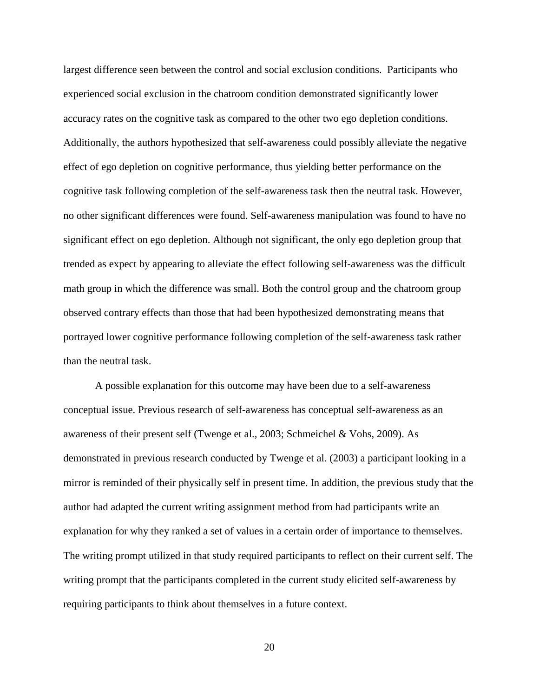largest difference seen between the control and social exclusion conditions. Participants who experienced social exclusion in the chatroom condition demonstrated significantly lower accuracy rates on the cognitive task as compared to the other two ego depletion conditions. Additionally, the authors hypothesized that self-awareness could possibly alleviate the negative effect of ego depletion on cognitive performance, thus yielding better performance on the cognitive task following completion of the self-awareness task then the neutral task. However, no other significant differences were found. Self-awareness manipulation was found to have no significant effect on ego depletion. Although not significant, the only ego depletion group that trended as expect by appearing to alleviate the effect following self-awareness was the difficult math group in which the difference was small. Both the control group and the chatroom group observed contrary effects than those that had been hypothesized demonstrating means that portrayed lower cognitive performance following completion of the self-awareness task rather than the neutral task.

A possible explanation for this outcome may have been due to a self-awareness conceptual issue. Previous research of self-awareness has conceptual self-awareness as an awareness of their present self (Twenge et al., 2003; Schmeichel & Vohs, 2009). As demonstrated in previous research conducted by Twenge et al. (2003) a participant looking in a mirror is reminded of their physically self in present time. In addition, the previous study that the author had adapted the current writing assignment method from had participants write an explanation for why they ranked a set of values in a certain order of importance to themselves. The writing prompt utilized in that study required participants to reflect on their current self. The writing prompt that the participants completed in the current study elicited self-awareness by requiring participants to think about themselves in a future context.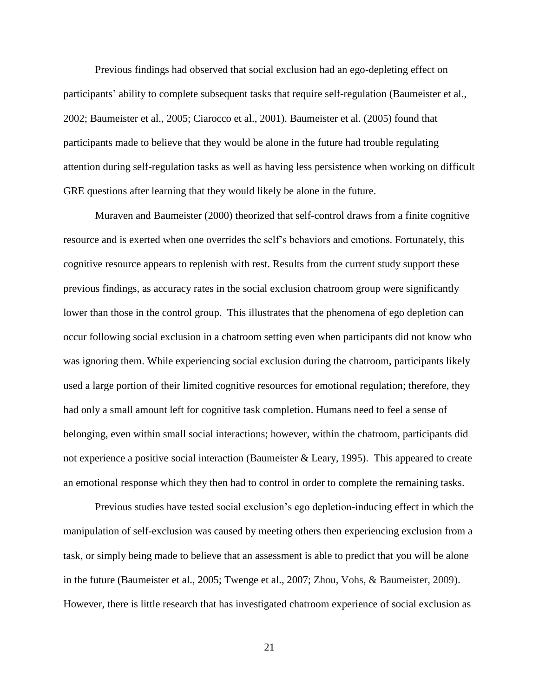Previous findings had observed that social exclusion had an ego-depleting effect on participants' ability to complete subsequent tasks that require self-regulation (Baumeister et al., 2002; Baumeister et al., 2005; Ciarocco et al., 2001). Baumeister et al. (2005) found that participants made to believe that they would be alone in the future had trouble regulating attention during self-regulation tasks as well as having less persistence when working on difficult GRE questions after learning that they would likely be alone in the future.

Muraven and Baumeister (2000) theorized that self-control draws from a finite cognitive resource and is exerted when one overrides the self's behaviors and emotions. Fortunately, this cognitive resource appears to replenish with rest. Results from the current study support these previous findings, as accuracy rates in the social exclusion chatroom group were significantly lower than those in the control group. This illustrates that the phenomena of ego depletion can occur following social exclusion in a chatroom setting even when participants did not know who was ignoring them. While experiencing social exclusion during the chatroom, participants likely used a large portion of their limited cognitive resources for emotional regulation; therefore, they had only a small amount left for cognitive task completion. Humans need to feel a sense of belonging, even within small social interactions; however, within the chatroom, participants did not experience a positive social interaction (Baumeister & Leary, 1995). This appeared to create an emotional response which they then had to control in order to complete the remaining tasks.

Previous studies have tested social exclusion's ego depletion-inducing effect in which the manipulation of self-exclusion was caused by meeting others then experiencing exclusion from a task, or simply being made to believe that an assessment is able to predict that you will be alone in the future (Baumeister et al., 2005; Twenge et al., 2007; Zhou, Vohs, & Baumeister, 2009). However, there is little research that has investigated chatroom experience of social exclusion as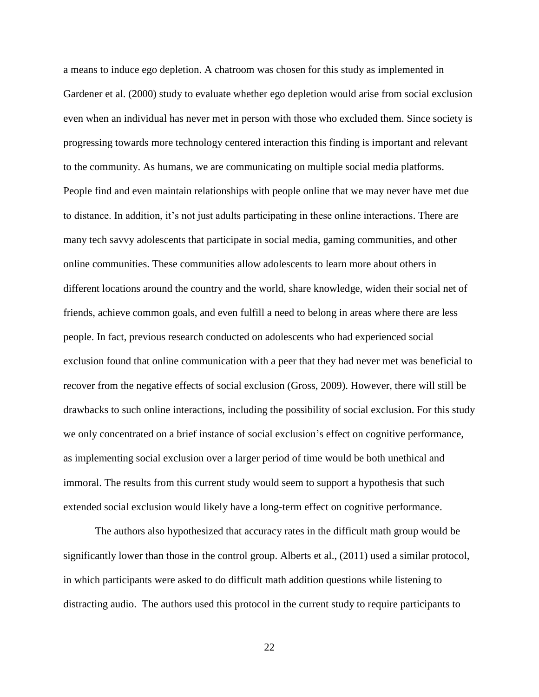a means to induce ego depletion. A chatroom was chosen for this study as implemented in Gardener et al. (2000) study to evaluate whether ego depletion would arise from social exclusion even when an individual has never met in person with those who excluded them. Since society is progressing towards more technology centered interaction this finding is important and relevant to the community. As humans, we are communicating on multiple social media platforms. People find and even maintain relationships with people online that we may never have met due to distance. In addition, it's not just adults participating in these online interactions. There are many tech savvy adolescents that participate in social media, gaming communities, and other online communities. These communities allow adolescents to learn more about others in different locations around the country and the world, share knowledge, widen their social net of friends, achieve common goals, and even fulfill a need to belong in areas where there are less people. In fact, previous research conducted on adolescents who had experienced social exclusion found that online communication with a peer that they had never met was beneficial to recover from the negative effects of social exclusion (Gross, 2009). However, there will still be drawbacks to such online interactions, including the possibility of social exclusion. For this study we only concentrated on a brief instance of social exclusion's effect on cognitive performance, as implementing social exclusion over a larger period of time would be both unethical and immoral. The results from this current study would seem to support a hypothesis that such extended social exclusion would likely have a long-term effect on cognitive performance.

The authors also hypothesized that accuracy rates in the difficult math group would be significantly lower than those in the control group. Alberts et al., (2011) used a similar protocol, in which participants were asked to do difficult math addition questions while listening to distracting audio. The authors used this protocol in the current study to require participants to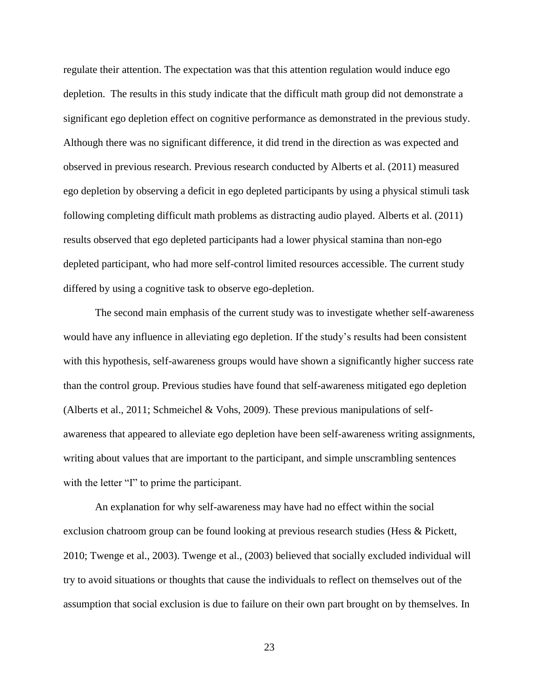regulate their attention. The expectation was that this attention regulation would induce ego depletion. The results in this study indicate that the difficult math group did not demonstrate a significant ego depletion effect on cognitive performance as demonstrated in the previous study. Although there was no significant difference, it did trend in the direction as was expected and observed in previous research. Previous research conducted by Alberts et al. (2011) measured ego depletion by observing a deficit in ego depleted participants by using a physical stimuli task following completing difficult math problems as distracting audio played. Alberts et al. (2011) results observed that ego depleted participants had a lower physical stamina than non-ego depleted participant, who had more self-control limited resources accessible. The current study differed by using a cognitive task to observe ego-depletion.

The second main emphasis of the current study was to investigate whether self-awareness would have any influence in alleviating ego depletion. If the study's results had been consistent with this hypothesis, self-awareness groups would have shown a significantly higher success rate than the control group. Previous studies have found that self-awareness mitigated ego depletion (Alberts et al., 2011; Schmeichel & Vohs, 2009). These previous manipulations of selfawareness that appeared to alleviate ego depletion have been self-awareness writing assignments, writing about values that are important to the participant, and simple unscrambling sentences with the letter "I" to prime the participant.

An explanation for why self-awareness may have had no effect within the social exclusion chatroom group can be found looking at previous research studies (Hess & Pickett, 2010; Twenge et al., 2003). Twenge et al., (2003) believed that socially excluded individual will try to avoid situations or thoughts that cause the individuals to reflect on themselves out of the assumption that social exclusion is due to failure on their own part brought on by themselves. In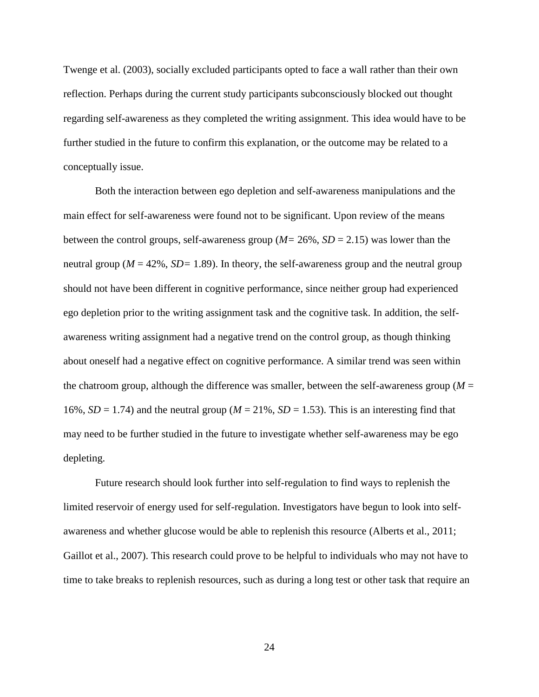Twenge et al. (2003), socially excluded participants opted to face a wall rather than their own reflection. Perhaps during the current study participants subconsciously blocked out thought regarding self-awareness as they completed the writing assignment. This idea would have to be further studied in the future to confirm this explanation, or the outcome may be related to a conceptually issue.

Both the interaction between ego depletion and self-awareness manipulations and the main effect for self-awareness were found not to be significant. Upon review of the means between the control groups, self-awareness group (*M=* 26%, *SD* = 2.15) was lower than the neutral group ( $M = 42\%$ ,  $SD = 1.89$ ). In theory, the self-awareness group and the neutral group should not have been different in cognitive performance, since neither group had experienced ego depletion prior to the writing assignment task and the cognitive task. In addition, the selfawareness writing assignment had a negative trend on the control group, as though thinking about oneself had a negative effect on cognitive performance. A similar trend was seen within the chatroom group, although the difference was smaller, between the self-awareness group ( $M =$ 16%,  $SD = 1.74$ ) and the neutral group ( $M = 21\%$ ,  $SD = 1.53$ ). This is an interesting find that may need to be further studied in the future to investigate whether self-awareness may be ego depleting.

Future research should look further into self-regulation to find ways to replenish the limited reservoir of energy used for self-regulation. Investigators have begun to look into selfawareness and whether glucose would be able to replenish this resource (Alberts et al., 2011; Gaillot et al., 2007). This research could prove to be helpful to individuals who may not have to time to take breaks to replenish resources, such as during a long test or other task that require an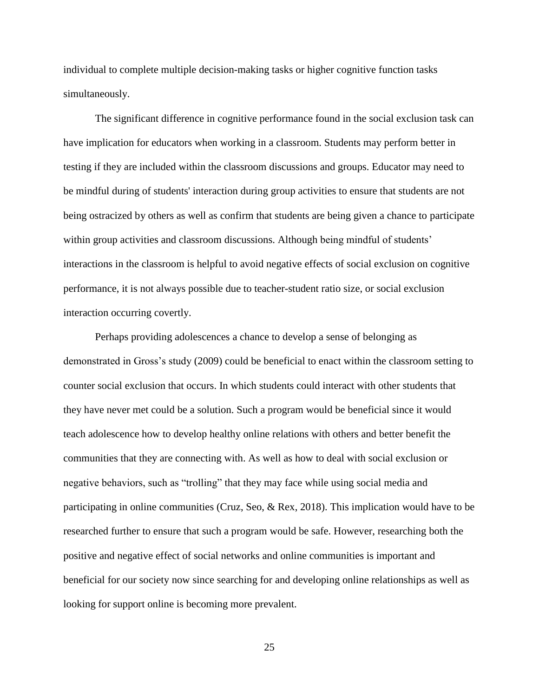individual to complete multiple decision-making tasks or higher cognitive function tasks simultaneously.

The significant difference in cognitive performance found in the social exclusion task can have implication for educators when working in a classroom. Students may perform better in testing if they are included within the classroom discussions and groups. Educator may need to be mindful during of students' interaction during group activities to ensure that students are not being ostracized by others as well as confirm that students are being given a chance to participate within group activities and classroom discussions. Although being mindful of students' interactions in the classroom is helpful to avoid negative effects of social exclusion on cognitive performance, it is not always possible due to teacher-student ratio size, or social exclusion interaction occurring covertly.

Perhaps providing adolescences a chance to develop a sense of belonging as demonstrated in Gross's study (2009) could be beneficial to enact within the classroom setting to counter social exclusion that occurs. In which students could interact with other students that they have never met could be a solution. Such a program would be beneficial since it would teach adolescence how to develop healthy online relations with others and better benefit the communities that they are connecting with. As well as how to deal with social exclusion or negative behaviors, such as "trolling" that they may face while using social media and participating in online communities (Cruz, Seo, & Rex, 2018). This implication would have to be researched further to ensure that such a program would be safe. However, researching both the positive and negative effect of social networks and online communities is important and beneficial for our society now since searching for and developing online relationships as well as looking for support online is becoming more prevalent.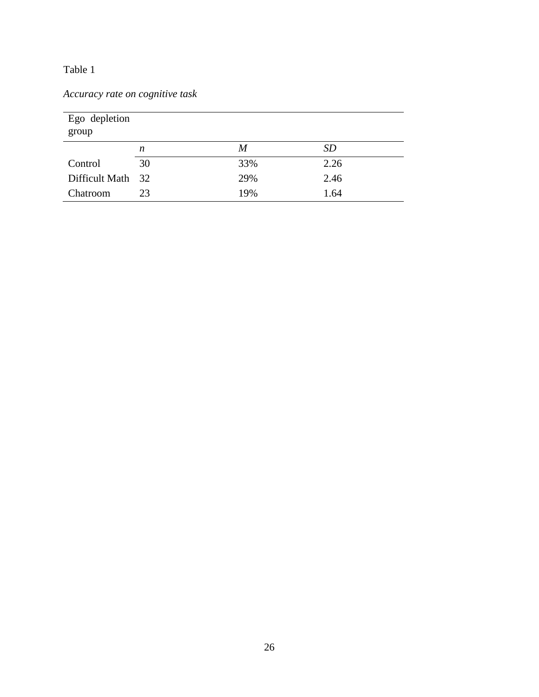# Table 1

| Accuracy rate on cognitive task |  |  |
|---------------------------------|--|--|
|                                 |  |  |

| Ego depletion<br>group |    |     |      |
|------------------------|----|-----|------|
|                        | n  | M   | SD   |
| Control                | 30 | 33% | 2.26 |
| Difficult Math 32      |    | 29% | 2.46 |
| Chatroom               | 23 | 19% | 1.64 |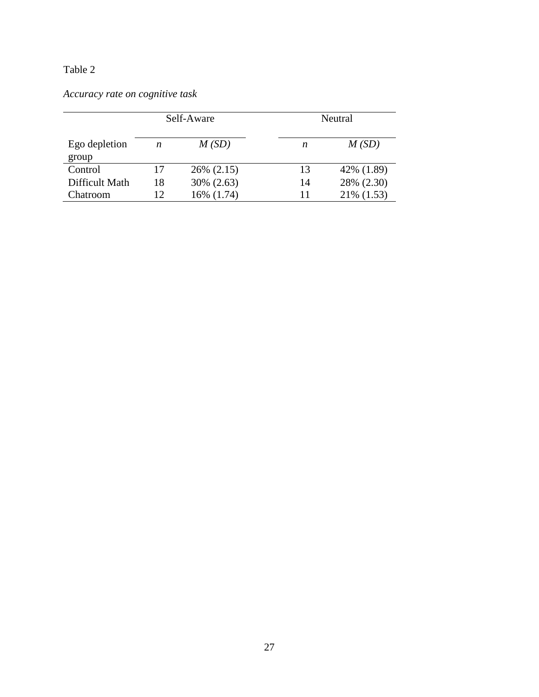# Table 2

# *Accuracy rate on cognitive task*

|                        | Self-Aware |            | Neutral |            |
|------------------------|------------|------------|---------|------------|
| Ego depletion<br>group | n          | M(SD)      | n       | M(SD)      |
| Control                | 17         | 26% (2.15) | 13      | 42% (1.89) |
| Difficult Math         | 18         | 30% (2.63) | 14      | 28% (2.30) |
| Chatroom               | 12         | 16% (1.74) | 11      | 21% (1.53) |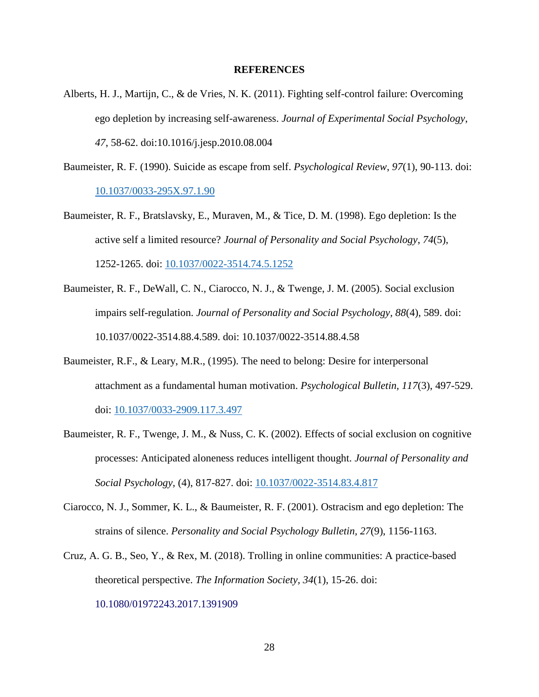### **REFERENCES**

- Alberts, H. J., Martijn, C., & de Vries, N. K. (2011). Fighting self-control failure: Overcoming ego depletion by increasing self-awareness. *Journal of Experimental Social Psychology*, *47*, 58-62. doi:10.1016/j.jesp.2010.08.004
- Baumeister, R. F. (1990). Suicide as escape from self. *Psychological Review*, *97*(1), 90-113. doi: [10.1037/0033-295X.97.1.90](http://psycnet.apa.org/doi/10.1037/0033-295X.97.1.90)
- Baumeister, R. F., Bratslavsky, E., Muraven, M., & Tice, D. M. (1998). Ego depletion: Is the active self a limited resource? *Journal of Personality and Social Psychology*, *74*(5), 1252-1265. doi: [10.1037/0022-3514.74.5.1252](http://psycnet.apa.org/doi/10.1037/0022-3514.74.5.1252)
- Baumeister, R. F., DeWall, C. N., Ciarocco, N. J., & Twenge, J. M. (2005). Social exclusion impairs self-regulation. *Journal of Personality and Social Psychology, 88*(4), 589. doi: 10.1037/0022-3514.88.4.589. doi: 10.1037/0022-3514.88.4.58
- Baumeister, R.F., & Leary, M.R., (1995). The need to belong: Desire for interpersonal attachment as a fundamental human motivation. *Psychological Bulletin, 117*(3), 497-529. doi: [10.1037/0033-2909.117.3.497](http://psycnet.apa.org/doi/10.1037/0033-2909.117.3.497)
- Baumeister, R. F., Twenge, J. M., & Nuss, C. K. (2002). Effects of social exclusion on cognitive processes: Anticipated aloneness reduces intelligent thought. *Journal of Personality and Social Psychology,* (4), 817-827. doi: [10.1037/0022-3514.83.4.817](http://psycnet.apa.org/doi/10.1037/0022-3514.83.4.817)
- Ciarocco, N. J., Sommer, K. L., & Baumeister, R. F. (2001). Ostracism and ego depletion: The strains of silence. *Personality and Social Psychology Bulletin, 27*(9), 1156-1163.
- Cruz, A. G. B., Seo, Y., & Rex, M. (2018). Trolling in online communities: A practice-based theoretical perspective. *The Information Society, 34*(1), 15-26. doi: 10.1080/01972243.2017.1391909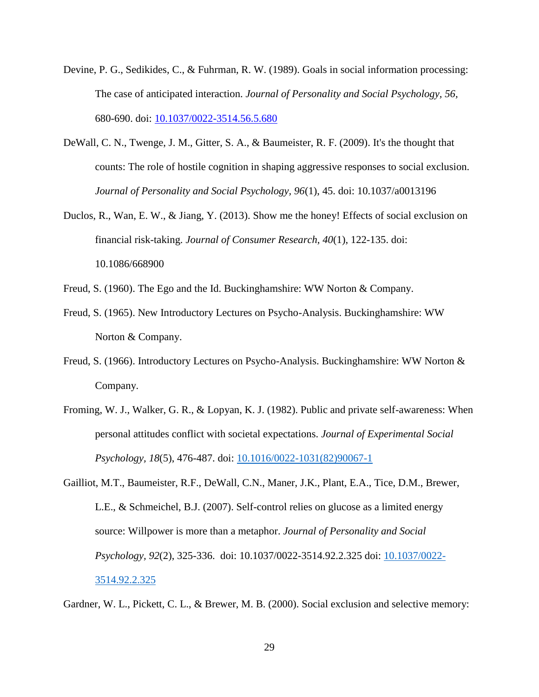- Devine, P. G., Sedikides, C., & Fuhrman, R. W. (1989). Goals in social information processing: The case of anticipated interaction. *Journal of Personality and Social Psychology, 56,* 680-690. doi: [10.1037/0022-3514.56.5.680](http://psycnet.apa.org/doi/10.1037/0022-3514.56.5.680)
- DeWall, C. N., Twenge, J. M., Gitter, S. A., & Baumeister, R. F. (2009). It's the thought that counts: The role of hostile cognition in shaping aggressive responses to social exclusion. *Journal of Personality and Social Psychology, 96*(1), 45. doi: 10.1037/a0013196
- Duclos, R., Wan, E. W., & Jiang, Y. (2013). Show me the honey! Effects of social exclusion on financial risk-taking. *Journal of Consumer Research, 40*(1), 122-135. doi: 10.1086/668900
- Freud, S. (1960). The Ego and the Id. Buckinghamshire: WW Norton & Company.
- Freud, S. (1965). New Introductory Lectures on Psycho-Analysis. Buckinghamshire: WW Norton & Company.
- Freud, S. (1966). Introductory Lectures on Psycho-Analysis. Buckinghamshire: WW Norton & Company.
- Froming, W. J., Walker, G. R., & Lopyan, K. J. (1982). Public and private self-awareness: When personal attitudes conflict with societal expectations. *Journal of Experimental Social Psychology, 18*(5), 476-487. doi: [10.1016/0022-1031\(82\)90067-1](https://doi.org/10.1016/0022-1031(82)90067-1)
- Gailliot, M.T., Baumeister, R.F., DeWall, C.N., Maner, J.K., Plant, E.A., Tice, D.M., Brewer, L.E., & Schmeichel, B.J. (2007). Self-control relies on glucose as a limited energy source: Willpower is more than a metaphor. *Journal of Personality and Social Psychology, 92*(2), 325-336. doi: 10.1037/0022-3514.92.2.325 doi: [10.1037/0022-](https://doi.org/10.1037/0022-3514.92.2.325) [3514.92.2.325](https://doi.org/10.1037/0022-3514.92.2.325)

Gardner, W. L., Pickett, C. L., & Brewer, M. B. (2000). Social exclusion and selective memory: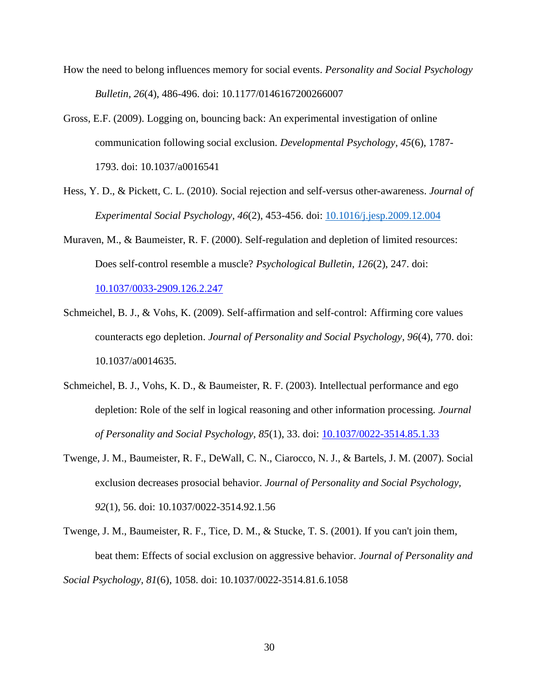- How the need to belong influences memory for social events. *Personality and Social Psychology Bulletin, 26*(4), 486-496. doi: 10.1177/0146167200266007
- Gross, E.F. (2009). Logging on, bouncing back: An experimental investigation of online communication following social exclusion. *Developmental Psychology, 45*(6), 1787- 1793. doi: 10.1037/a0016541
- Hess, Y. D., & Pickett, C. L. (2010). Social rejection and self-versus other-awareness. *Journal of Experimental Social Psychology, 46*(2), 453-456. doi: [10.1016/j.jesp.2009.12.004](https://doi.org/10.1016/j.jesp.2009.12.004)
- Muraven, M., & Baumeister, R. F. (2000). Self-regulation and depletion of limited resources: Does self-control resemble a muscle? *Psychological Bulletin, 126*(2), 247. doi:

[10.1037/0033-2909.126.2.247](http://psycnet.apa.org/doi/10.1037/0033-2909.126.2.247)

- Schmeichel, B. J., & Vohs, K. (2009). Self-affirmation and self-control: Affirming core values counteracts ego depletion. *Journal of Personality and Social Psychology, 96*(4), 770. doi: 10.1037/a0014635.
- Schmeichel, B. J., Vohs, K. D., & Baumeister, R. F. (2003). Intellectual performance and ego depletion: Role of the self in logical reasoning and other information processing*. Journal of Personality and Social Psychology, 85*(1), 33. doi: [10.1037/0022-3514.85.1.33](http://psycnet.apa.org/doi/10.1037/0022-3514.85.1.33)
- Twenge, J. M., Baumeister, R. F., DeWall, C. N., Ciarocco, N. J., & Bartels, J. M. (2007). Social exclusion decreases prosocial behavior. *Journal of Personality and Social Psychology, 92*(1), 56. doi: 10.1037/0022-3514.92.1.56

Twenge, J. M., Baumeister, R. F., Tice, D. M., & Stucke, T. S. (2001). If you can't join them, beat them: Effects of social exclusion on aggressive behavior. *Journal of Personality and Social Psychology, 81*(6), 1058. doi: 10.1037/0022-3514.81.6.1058